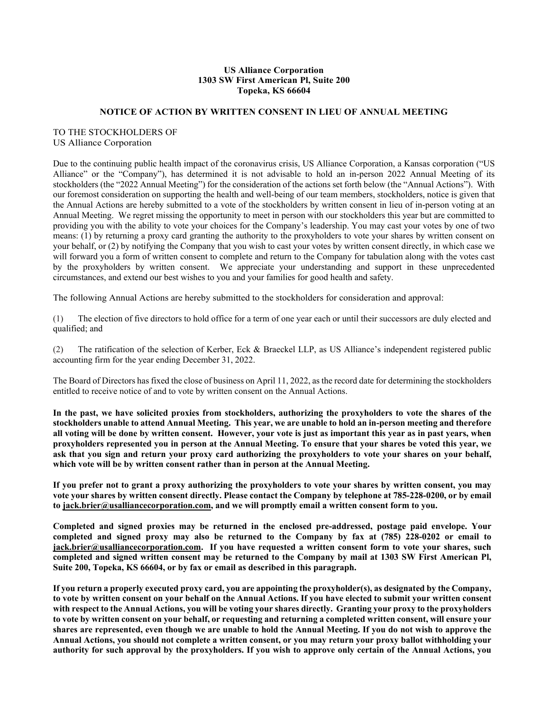### **US Alliance Corporation 1303 SW First American Pl, Suite 200 Topeka, KS 66604**

#### **NOTICE OF ACTION BY WRITTEN CONSENT IN LIEU OF ANNUAL MEETING**

## TO THE STOCKHOLDERS OF US Alliance Corporation

Due to the continuing public health impact of the coronavirus crisis, US Alliance Corporation, a Kansas corporation ("US Alliance" or the "Company"), has determined it is not advisable to hold an in-person 2022 Annual Meeting of its stockholders (the "2022 Annual Meeting") for the consideration of the actions set forth below (the "Annual Actions"). With our foremost consideration on supporting the health and well-being of our team members, stockholders, notice is given that the Annual Actions are hereby submitted to a vote of the stockholders by written consent in lieu of in-person voting at an Annual Meeting. We regret missing the opportunity to meet in person with our stockholders this year but are committed to providing you with the ability to vote your choices for the Company's leadership. You may cast your votes by one of two means: (1) by returning a proxy card granting the authority to the proxyholders to vote your shares by written consent on your behalf, or (2) by notifying the Company that you wish to cast your votes by written consent directly, in which case we will forward you a form of written consent to complete and return to the Company for tabulation along with the votes cast by the proxyholders by written consent. We appreciate your understanding and support in these unprecedented circumstances, and extend our best wishes to you and your families for good health and safety.

The following Annual Actions are hereby submitted to the stockholders for consideration and approval:

(1) The election of five directors to hold office for a term of one year each or until their successors are duly elected and qualified; and

(2) The ratification of the selection of Kerber, Eck & Braeckel LLP, as US Alliance's independent registered public accounting firm for the year ending December 31, 2022.

The Board of Directors has fixed the close of business on April 11, 2022, as the record date for determining the stockholders entitled to receive notice of and to vote by written consent on the Annual Actions.

**In the past, we have solicited proxies from stockholders, authorizing the proxyholders to vote the shares of the stockholders unable to attend Annual Meeting. This year, we are unable to hold an in-person meeting and therefore all voting will be done by written consent. However, your vote is just as important this year as in past years, when proxyholders represented you in person at the Annual Meeting. To ensure that your shares be voted this year, we ask that you sign and return your proxy card authorizing the proxyholders to vote your shares on your behalf, which vote will be by written consent rather than in person at the Annual Meeting.** 

**If you prefer not to grant a proxy authorizing the proxyholders to vote your shares by written consent, you may vote your shares by written consent directly. Please contact the Company by telephone at 785-228-0200, or by email to jack.brier@usalliancecorporation.com, and we will promptly email a written consent form to you.** 

**Completed and signed proxies may be returned in the enclosed pre-addressed, postage paid envelope. Your completed and signed proxy may also be returned to the Company by fax at (785) 228-0202 or email to jack.brier@usalliancecorporation.com. If you have requested a written consent form to vote your shares, such completed and signed written consent may be returned to the Company by mail at 1303 SW First American Pl, Suite 200, Topeka, KS 66604, or by fax or email as described in this paragraph.** 

**If you return a properly executed proxy card, you are appointing the proxyholder(s), as designated by the Company, to vote by written consent on your behalf on the Annual Actions. If you have elected to submit your written consent with respect to the Annual Actions, you will be voting your shares directly. Granting your proxy to the proxyholders to vote by written consent on your behalf, or requesting and returning a completed written consent, will ensure your shares are represented, even though we are unable to hold the Annual Meeting. If you do not wish to approve the Annual Actions, you should not complete a written consent, or you may return your proxy ballot withholding your authority for such approval by the proxyholders. If you wish to approve only certain of the Annual Actions, you**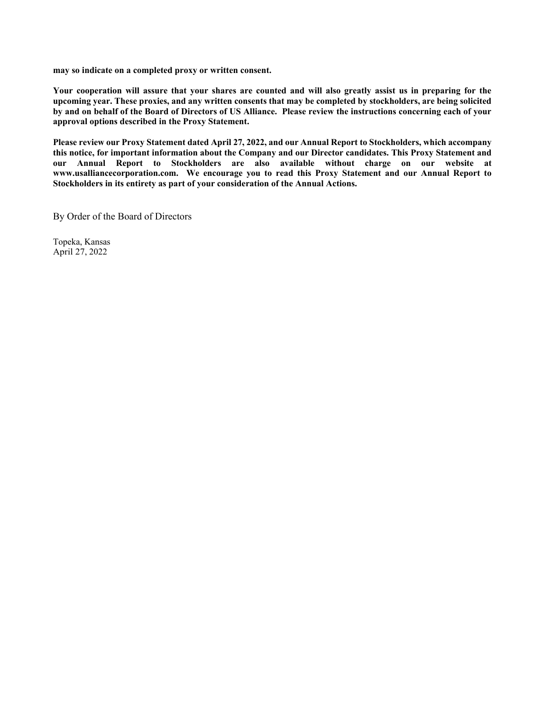**may so indicate on a completed proxy or written consent.** 

**Your cooperation will assure that your shares are counted and will also greatly assist us in preparing for the upcoming year. These proxies, and any written consents that may be completed by stockholders, are being solicited by and on behalf of the Board of Directors of US Alliance. Please review the instructions concerning each of your approval options described in the Proxy Statement.** 

**Please review our Proxy Statement dated April 27, 2022, and our Annual Report to Stockholders, which accompany this notice, for important information about the Company and our Director candidates. This Proxy Statement and our Annual Report to Stockholders are also available without charge on our website at www.usalliancecorporation.com. We encourage you to read this Proxy Statement and our Annual Report to Stockholders in its entirety as part of your consideration of the Annual Actions.** 

By Order of the Board of Directors

Topeka, Kansas April 27, 2022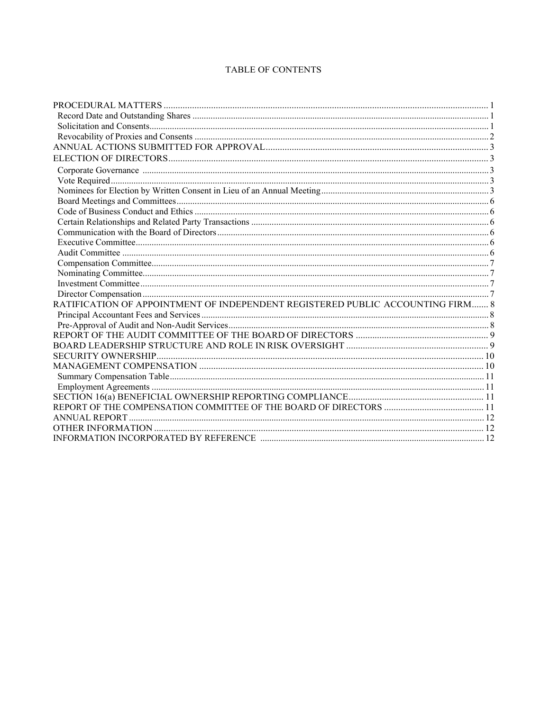# TABLE OF CONTENTS

| RATIFICATION OF APPOINTMENT OF INDEPENDENT REGISTERED PUBLIC ACCOUNTING FIRM 8 |  |
|--------------------------------------------------------------------------------|--|
|                                                                                |  |
|                                                                                |  |
|                                                                                |  |
|                                                                                |  |
|                                                                                |  |
|                                                                                |  |
|                                                                                |  |
|                                                                                |  |
|                                                                                |  |
|                                                                                |  |
|                                                                                |  |
|                                                                                |  |
|                                                                                |  |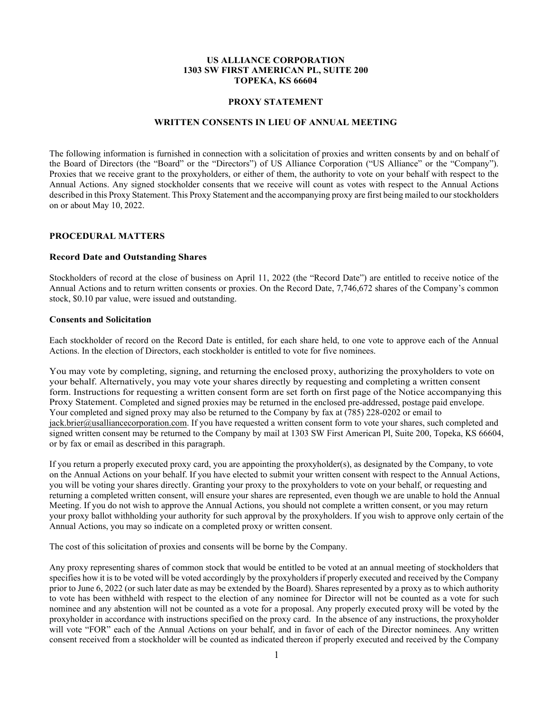### **US ALLIANCE CORPORATION 1303 SW FIRST AMERICAN PL, SUITE 200 TOPEKA, KS 66604**

#### **PROXY STATEMENT**

#### **WRITTEN CONSENTS IN LIEU OF ANNUAL MEETING**

The following information is furnished in connection with a solicitation of proxies and written consents by and on behalf of the Board of Directors (the "Board" or the "Directors") of US Alliance Corporation ("US Alliance" or the "Company"). Proxies that we receive grant to the proxyholders, or either of them, the authority to vote on your behalf with respect to the Annual Actions. Any signed stockholder consents that we receive will count as votes with respect to the Annual Actions described in this Proxy Statement. This Proxy Statement and the accompanying proxy are first being mailed to our stockholders on or about May 10, 2022.

### **PROCEDURAL MATTERS**

## **Record Date and Outstanding Shares**

Stockholders of record at the close of business on April 11, 2022 (the "Record Date") are entitled to receive notice of the Annual Actions and to return written consents or proxies. On the Record Date, 7,746,672 shares of the Company's common stock, \$0.10 par value, were issued and outstanding.

#### **Consents and Solicitation**

Each stockholder of record on the Record Date is entitled, for each share held, to one vote to approve each of the Annual Actions. In the election of Directors, each stockholder is entitled to vote for five nominees.

You may vote by completing, signing, and returning the enclosed proxy, authorizing the proxyholders to vote on your behalf. Alternatively, you may vote your shares directly by requesting and completing a written consent form. Instructions for requesting a written consent form are set forth on first page of the Notice accompanying this Proxy Statement. Completed and signed proxies may be returned in the enclosed pre-addressed, postage paid envelope. Your completed and signed proxy may also be returned to the Company by fax at (785) 228-0202 or email to jack.brier@usalliancecorporation.com. If you have requested a written consent form to vote your shares, such completed and signed written consent may be returned to the Company by mail at 1303 SW First American Pl, Suite 200, Topeka, KS 66604, or by fax or email as described in this paragraph.

If you return a properly executed proxy card, you are appointing the proxyholder(s), as designated by the Company, to vote on the Annual Actions on your behalf. If you have elected to submit your written consent with respect to the Annual Actions, you will be voting your shares directly. Granting your proxy to the proxyholders to vote on your behalf, or requesting and returning a completed written consent, will ensure your shares are represented, even though we are unable to hold the Annual Meeting. If you do not wish to approve the Annual Actions, you should not complete a written consent, or you may return your proxy ballot withholding your authority for such approval by the proxyholders. If you wish to approve only certain of the Annual Actions, you may so indicate on a completed proxy or written consent.

The cost of this solicitation of proxies and consents will be borne by the Company.

Any proxy representing shares of common stock that would be entitled to be voted at an annual meeting of stockholders that specifies how it is to be voted will be voted accordingly by the proxyholders if properly executed and received by the Company prior to June 6, 2022 (or such later date as may be extended by the Board). Shares represented by a proxy as to which authority to vote has been withheld with respect to the election of any nominee for Director will not be counted as a vote for such nominee and any abstention will not be counted as a vote for a proposal. Any properly executed proxy will be voted by the proxyholder in accordance with instructions specified on the proxy card. In the absence of any instructions, the proxyholder will vote "FOR" each of the Annual Actions on your behalf, and in favor of each of the Director nominees. Any written consent received from a stockholder will be counted as indicated thereon if properly executed and received by the Company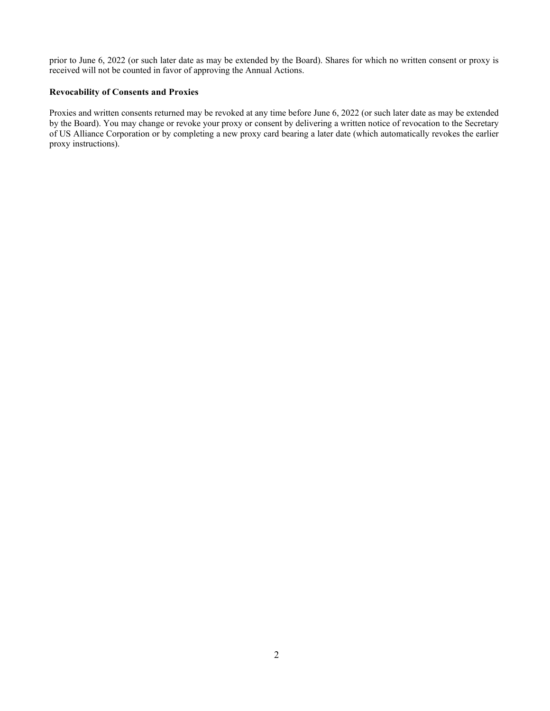prior to June 6, 2022 (or such later date as may be extended by the Board). Shares for which no written consent or proxy is received will not be counted in favor of approving the Annual Actions.

## **Revocability of Consents and Proxies**

Proxies and written consents returned may be revoked at any time before June 6, 2022 (or such later date as may be extended by the Board). You may change or revoke your proxy or consent by delivering a written notice of revocation to the Secretary of US Alliance Corporation or by completing a new proxy card bearing a later date (which automatically revokes the earlier proxy instructions).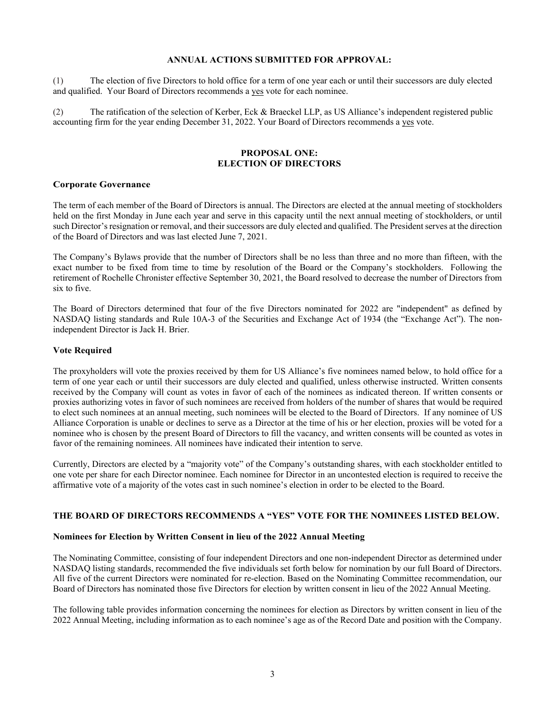## **ANNUAL ACTIONS SUBMITTED FOR APPROVAL:**

(1) The election of five Directors to hold office for a term of one year each or until their successors are duly elected and qualified. Your Board of Directors recommends a yes vote for each nominee.

(2) The ratification of the selection of Kerber, Eck & Braeckel LLP, as US Alliance's independent registered public accounting firm for the year ending December 31, 2022. Your Board of Directors recommends a yes vote.

### **PROPOSAL ONE: ELECTION OF DIRECTORS**

#### **Corporate Governance**

The term of each member of the Board of Directors is annual. The Directors are elected at the annual meeting of stockholders held on the first Monday in June each year and serve in this capacity until the next annual meeting of stockholders, or until such Director's resignation or removal, and their successors are duly elected and qualified. The President serves at the direction of the Board of Directors and was last elected June 7, 2021.

The Company's Bylaws provide that the number of Directors shall be no less than three and no more than fifteen, with the exact number to be fixed from time to time by resolution of the Board or the Company's stockholders. Following the retirement of Rochelle Chronister effective September 30, 2021, the Board resolved to decrease the number of Directors from six to five.

The Board of Directors determined that four of the five Directors nominated for 2022 are "independent" as defined by NASDAQ listing standards and Rule 10A-3 of the Securities and Exchange Act of 1934 (the "Exchange Act"). The nonindependent Director is Jack H. Brier.

## **Vote Required**

The proxyholders will vote the proxies received by them for US Alliance's five nominees named below, to hold office for a term of one year each or until their successors are duly elected and qualified, unless otherwise instructed. Written consents received by the Company will count as votes in favor of each of the nominees as indicated thereon. If written consents or proxies authorizing votes in favor of such nominees are received from holders of the number of shares that would be required to elect such nominees at an annual meeting, such nominees will be elected to the Board of Directors. If any nominee of US Alliance Corporation is unable or declines to serve as a Director at the time of his or her election, proxies will be voted for a nominee who is chosen by the present Board of Directors to fill the vacancy, and written consents will be counted as votes in favor of the remaining nominees. All nominees have indicated their intention to serve.

Currently, Directors are elected by a "majority vote" of the Company's outstanding shares, with each stockholder entitled to one vote per share for each Director nominee. Each nominee for Director in an uncontested election is required to receive the affirmative vote of a majority of the votes cast in such nominee's election in order to be elected to the Board.

## **THE BOARD OF DIRECTORS RECOMMENDS A "YES" VOTE FOR THE NOMINEES LISTED BELOW.**

#### **Nominees for Election by Written Consent in lieu of the 2022 Annual Meeting**

The Nominating Committee, consisting of four independent Directors and one non-independent Director as determined under NASDAQ listing standards, recommended the five individuals set forth below for nomination by our full Board of Directors. All five of the current Directors were nominated for re-election. Based on the Nominating Committee recommendation, our Board of Directors has nominated those five Directors for election by written consent in lieu of the 2022 Annual Meeting.

The following table provides information concerning the nominees for election as Directors by written consent in lieu of the 2022 Annual Meeting, including information as to each nominee's age as of the Record Date and position with the Company.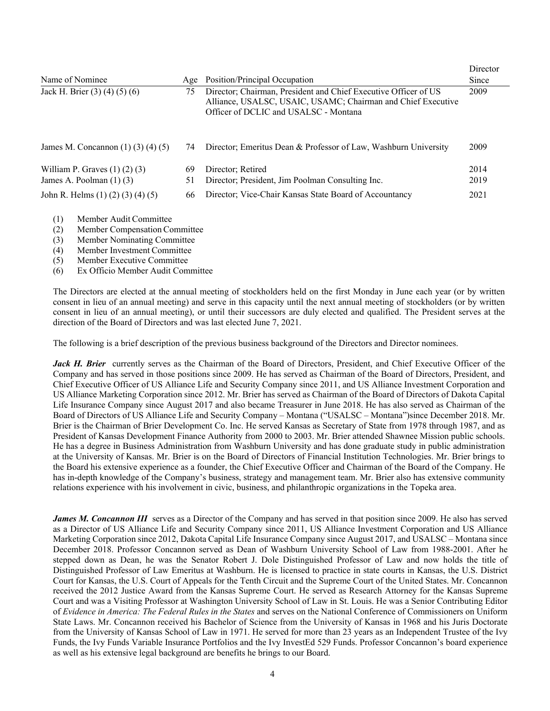| Name of Nominee<br>Jack H. Brier (3) (4) (5) (6)<br>75                                         |    | Position/Principal Occupation<br>Age                                                                                                                                     |      |  |  |
|------------------------------------------------------------------------------------------------|----|--------------------------------------------------------------------------------------------------------------------------------------------------------------------------|------|--|--|
|                                                                                                |    | Director; Chairman, President and Chief Executive Officer of US<br>Alliance, USALSC, USAIC, USAMC; Chairman and Chief Executive<br>Officer of DCLIC and USALSC - Montana | 2009 |  |  |
| James M. Concannon $(1) (3) (4) (5)$                                                           | 74 | Director; Emeritus Dean & Professor of Law, Washburn University                                                                                                          | 2009 |  |  |
| William P. Graves $(1)$ $(2)$ $(3)$                                                            | 69 | Director; Retired                                                                                                                                                        | 2014 |  |  |
| James A. Poolman $(1)$ $(3)$                                                                   | 51 | Director; President, Jim Poolman Consulting Inc.                                                                                                                         | 2019 |  |  |
| John R. Helms $(1) (2) (3) (4) (5)$                                                            | 66 | Director; Vice-Chair Kansas State Board of Accountancy                                                                                                                   | 2021 |  |  |
| Member Audit Committee<br>(1)<br>$\mathbf{M}$ $\mathbf{N}$ $\mathbf{M}$ $\mathbf{N}$<br>$\sim$ |    |                                                                                                                                                                          |      |  |  |

- (2) Member Compensation Committee
- (3) Member Nominating Committee
- (4) Member Investment Committee
- (5) Member Executive Committee
- (6) Ex Officio Member Audit Committee

The Directors are elected at the annual meeting of stockholders held on the first Monday in June each year (or by written consent in lieu of an annual meeting) and serve in this capacity until the next annual meeting of stockholders (or by written consent in lieu of an annual meeting), or until their successors are duly elected and qualified. The President serves at the direction of the Board of Directors and was last elected June 7, 2021.

The following is a brief description of the previous business background of the Directors and Director nominees.

Jack H. Brier currently serves as the Chairman of the Board of Directors, President, and Chief Executive Officer of the Company and has served in those positions since 2009. He has served as Chairman of the Board of Directors, President, and Chief Executive Officer of US Alliance Life and Security Company since 2011, and US Alliance Investment Corporation and US Alliance Marketing Corporation since 2012. Mr. Brier has served as Chairman of the Board of Directors of Dakota Capital Life Insurance Company since August 2017 and also became Treasurer in June 2018. He has also served as Chairman of the Board of Directors of US Alliance Life and Security Company – Montana ("USALSC – Montana")since December 2018. Mr. Brier is the Chairman of Brier Development Co. Inc. He served Kansas as Secretary of State from 1978 through 1987, and as President of Kansas Development Finance Authority from 2000 to 2003. Mr. Brier attended Shawnee Mission public schools. He has a degree in Business Administration from Washburn University and has done graduate study in public administration at the University of Kansas. Mr. Brier is on the Board of Directors of Financial Institution Technologies. Mr. Brier brings to the Board his extensive experience as a founder, the Chief Executive Officer and Chairman of the Board of the Company. He has in-depth knowledge of the Company's business, strategy and management team. Mr. Brier also has extensive community relations experience with his involvement in civic, business, and philanthropic organizations in the Topeka area.

*James M. Concannon III* serves as a Director of the Company and has served in that position since 2009. He also has served as a Director of US Alliance Life and Security Company since 2011, US Alliance Investment Corporation and US Alliance Marketing Corporation since 2012, Dakota Capital Life Insurance Company since August 2017, and USALSC – Montana since December 2018. Professor Concannon served as Dean of Washburn University School of Law from 1988-2001. After he stepped down as Dean, he was the Senator Robert J. Dole Distinguished Professor of Law and now holds the title of Distinguished Professor of Law Emeritus at Washburn. He is licensed to practice in state courts in Kansas, the U.S. District Court for Kansas, the U.S. Court of Appeals for the Tenth Circuit and the Supreme Court of the United States. Mr. Concannon received the 2012 Justice Award from the Kansas Supreme Court. He served as Research Attorney for the Kansas Supreme Court and was a Visiting Professor at Washington University School of Law in St. Louis. He was a Senior Contributing Editor of *Evidence in America: The Federal Rules in the States* and serves on the National Conference of Commissioners on Uniform State Laws. Mr. Concannon received his Bachelor of Science from the University of Kansas in 1968 and his Juris Doctorate from the University of Kansas School of Law in 1971. He served for more than 23 years as an Independent Trustee of the Ivy Funds, the Ivy Funds Variable Insurance Portfolios and the Ivy InvestEd 529 Funds. Professor Concannon's board experience as well as his extensive legal background are benefits he brings to our Board.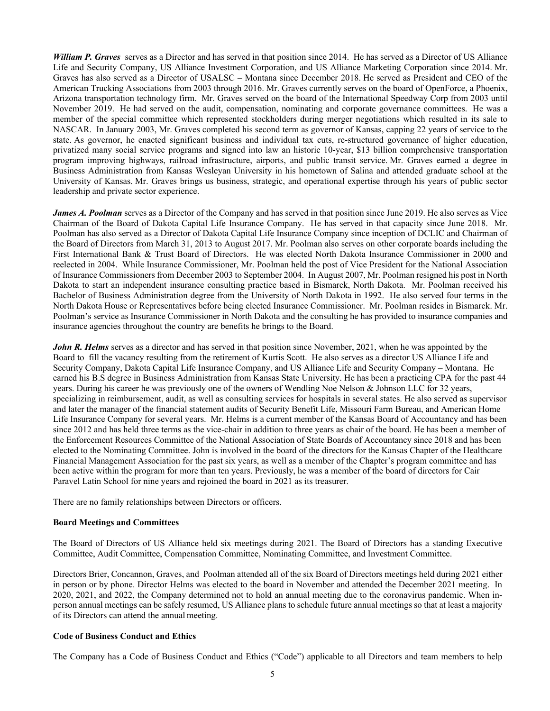*William P. Graves* serves as a Director and has served in that position since 2014. He has served as a Director of US Alliance Life and Security Company, US Alliance Investment Corporation, and US Alliance Marketing Corporation since 2014. Mr. Graves has also served as a Director of USALSC – Montana since December 2018. He served as President and CEO of the American Trucking Associations from 2003 through 2016. Mr. Graves currently serves on the board of OpenForce, a Phoenix, Arizona transportation technology firm. Mr. Graves served on the board of the International Speedway Corp from 2003 until November 2019. He had served on the audit, compensation, nominating and corporate governance committees. He was a member of the special committee which represented stockholders during merger negotiations which resulted in its sale to NASCAR. In January 2003, Mr. Graves completed his second term as governor of Kansas, capping 22 years of service to the state. As governor, he enacted significant business and individual tax cuts, re-structured governance of higher education, privatized many social service programs and signed into law an historic 10-year, \$13 billion comprehensive transportation program improving highways, railroad infrastructure, airports, and public transit service. Mr. Graves earned a degree in Business Administration from Kansas Wesleyan University in his hometown of Salina and attended graduate school at the University of Kansas. Mr. Graves brings us business, strategic, and operational expertise through his years of public sector leadership and private sector experience.

*James A. Poolman* serves as a Director of the Company and has served in that position since June 2019. He also serves as Vice Chairman of the Board of Dakota Capital Life Insurance Company. He has served in that capacity since June 2018. Mr. Poolman has also served as a Director of Dakota Capital Life Insurance Company since inception of DCLIC and Chairman of the Board of Directors from March 31, 2013 to August 2017. Mr. Poolman also serves on other corporate boards including the First International Bank & Trust Board of Directors. He was elected North Dakota Insurance Commissioner in 2000 and reelected in 2004. While Insurance Commissioner, Mr. Poolman held the post of Vice President for the National Association of Insurance Commissioners from December 2003 to September 2004. In August 2007, Mr. Poolman resigned his post in North Dakota to start an independent insurance consulting practice based in Bismarck, North Dakota. Mr. Poolman received his Bachelor of Business Administration degree from the University of North Dakota in 1992. He also served four terms in the North Dakota House or Representatives before being elected Insurance Commissioner. Mr. Poolman resides in Bismarck. Mr. Poolman's service as Insurance Commissioner in North Dakota and the consulting he has provided to insurance companies and insurance agencies throughout the country are benefits he brings to the Board.

*John R. Helms* serves as a director and has served in that position since November, 2021, when he was appointed by the Board to fill the vacancy resulting from the retirement of Kurtis Scott. He also serves as a director US Alliance Life and Security Company, Dakota Capital Life Insurance Company, and US Alliance Life and Security Company – Montana. He earned his B.S degree in Business Administration from Kansas State University. He has been a practicing CPA for the past 44 years. During his career he was previously one of the owners of Wendling Noe Nelson & Johnson LLC for 32 years, specializing in reimbursement, audit, as well as consulting services for hospitals in several states. He also served as supervisor and later the manager of the financial statement audits of Security Benefit Life, Missouri Farm Bureau, and American Home Life Insurance Company for several years. Mr. Helms is a current member of the Kansas Board of Accountancy and has been since 2012 and has held three terms as the vice-chair in addition to three years as chair of the board. He has been a member of the Enforcement Resources Committee of the National Association of State Boards of Accountancy since 2018 and has been elected to the Nominating Committee. John is involved in the board of the directors for the Kansas Chapter of the Healthcare Financial Management Association for the past six years, as well as a member of the Chapter's program committee and has been active within the program for more than ten years. Previously, he was a member of the board of directors for Cair Paravel Latin School for nine years and rejoined the board in 2021 as its treasurer.

There are no family relationships between Directors or officers.

## **Board Meetings and Committees**

The Board of Directors of US Alliance held six meetings during 2021. The Board of Directors has a standing Executive Committee, Audit Committee, Compensation Committee, Nominating Committee, and Investment Committee.

Directors Brier, Concannon, Graves, and Poolman attended all of the six Board of Directors meetings held during 2021 either in person or by phone. Director Helms was elected to the board in November and attended the December 2021 meeting. In 2020, 2021, and 2022, the Company determined not to hold an annual meeting due to the coronavirus pandemic. When inperson annual meetings can be safely resumed, US Alliance plans to schedule future annual meetings so that at least a majority of its Directors can attend the annual meeting.

#### **Code of Business Conduct and Ethics**

The Company has a Code of Business Conduct and Ethics ("Code") applicable to all Directors and team members to help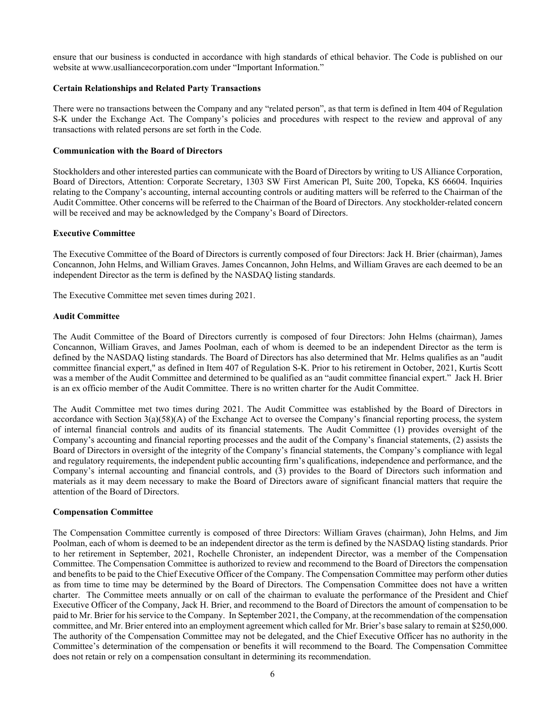ensure that our business is conducted in accordance with high standards of ethical behavior. The Code is published on our website at www.usalliancecorporation.com under "Important Information."

## **Certain Relationships and Related Party Transactions**

There were no transactions between the Company and any "related person", as that term is defined in Item 404 of Regulation S-K under the Exchange Act. The Company's policies and procedures with respect to the review and approval of any transactions with related persons are set forth in the Code.

## **Communication with the Board of Directors**

Stockholders and other interested parties can communicate with the Board of Directors by writing to US Alliance Corporation, Board of Directors, Attention: Corporate Secretary, 1303 SW First American Pl, Suite 200, Topeka, KS 66604. Inquiries relating to the Company's accounting, internal accounting controls or auditing matters will be referred to the Chairman of the Audit Committee. Other concerns will be referred to the Chairman of the Board of Directors. Any stockholder-related concern will be received and may be acknowledged by the Company's Board of Directors.

## **Executive Committee**

The Executive Committee of the Board of Directors is currently composed of four Directors: Jack H. Brier (chairman), James Concannon, John Helms, and William Graves. James Concannon, John Helms, and William Graves are each deemed to be an independent Director as the term is defined by the NASDAQ listing standards.

The Executive Committee met seven times during 2021.

## **Audit Committee**

The Audit Committee of the Board of Directors currently is composed of four Directors: John Helms (chairman), James Concannon, William Graves, and James Poolman, each of whom is deemed to be an independent Director as the term is defined by the NASDAQ listing standards. The Board of Directors has also determined that Mr. Helms qualifies as an "audit committee financial expert," as defined in Item 407 of Regulation S-K. Prior to his retirement in October, 2021, Kurtis Scott was a member of the Audit Committee and determined to be qualified as an "audit committee financial expert." Jack H. Brier is an ex officio member of the Audit Committee. There is no written charter for the Audit Committee.

The Audit Committee met two times during 2021. The Audit Committee was established by the Board of Directors in accordance with Section  $3(a)(58)(A)$  of the Exchange Act to oversee the Company's financial reporting process, the system of internal financial controls and audits of its financial statements. The Audit Committee (1) provides oversight of the Company's accounting and financial reporting processes and the audit of the Company's financial statements, (2) assists the Board of Directors in oversight of the integrity of the Company's financial statements, the Company's compliance with legal and regulatory requirements, the independent public accounting firm's qualifications, independence and performance, and the Company's internal accounting and financial controls, and (3) provides to the Board of Directors such information and materials as it may deem necessary to make the Board of Directors aware of significant financial matters that require the attention of the Board of Directors.

#### **Compensation Committee**

The Compensation Committee currently is composed of three Directors: William Graves (chairman), John Helms, and Jim Poolman, each of whom is deemed to be an independent director as the term is defined by the NASDAQ listing standards. Prior to her retirement in September, 2021, Rochelle Chronister, an independent Director, was a member of the Compensation Committee. The Compensation Committee is authorized to review and recommend to the Board of Directors the compensation and benefits to be paid to the Chief Executive Officer of the Company. The Compensation Committee may perform other duties as from time to time may be determined by the Board of Directors. The Compensation Committee does not have a written charter. The Committee meets annually or on call of the chairman to evaluate the performance of the President and Chief Executive Officer of the Company, Jack H. Brier, and recommend to the Board of Directors the amount of compensation to be paid to Mr. Brier for his service to the Company. In September 2021, the Company, at the recommendation of the compensation committee, and Mr. Brier entered into an employment agreement which called for Mr. Brier's base salary to remain at \$250,000. The authority of the Compensation Committee may not be delegated, and the Chief Executive Officer has no authority in the Committee's determination of the compensation or benefits it will recommend to the Board. The Compensation Committee does not retain or rely on a compensation consultant in determining its recommendation.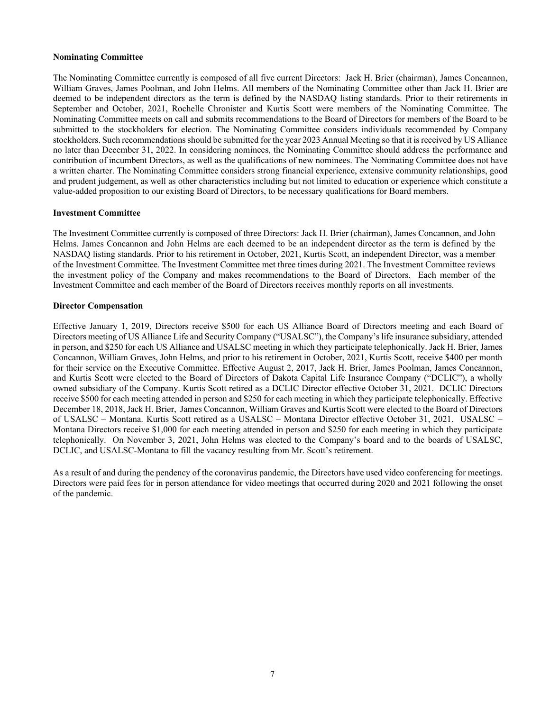### **Nominating Committee**

The Nominating Committee currently is composed of all five current Directors: Jack H. Brier (chairman), James Concannon, William Graves, James Poolman, and John Helms. All members of the Nominating Committee other than Jack H. Brier are deemed to be independent directors as the term is defined by the NASDAQ listing standards. Prior to their retirements in September and October, 2021, Rochelle Chronister and Kurtis Scott were members of the Nominating Committee. The Nominating Committee meets on call and submits recommendations to the Board of Directors for members of the Board to be submitted to the stockholders for election. The Nominating Committee considers individuals recommended by Company stockholders. Such recommendations should be submitted for the year 2023 Annual Meeting so that it is received by US Alliance no later than December 31, 2022. In considering nominees, the Nominating Committee should address the performance and contribution of incumbent Directors, as well as the qualifications of new nominees. The Nominating Committee does not have a written charter. The Nominating Committee considers strong financial experience, extensive community relationships, good and prudent judgement, as well as other characteristics including but not limited to education or experience which constitute a value-added proposition to our existing Board of Directors, to be necessary qualifications for Board members.

#### **Investment Committee**

The Investment Committee currently is composed of three Directors: Jack H. Brier (chairman), James Concannon, and John Helms. James Concannon and John Helms are each deemed to be an independent director as the term is defined by the NASDAQ listing standards. Prior to his retirement in October, 2021, Kurtis Scott, an independent Director, was a member of the Investment Committee. The Investment Committee met three times during 2021. The Investment Committee reviews the investment policy of the Company and makes recommendations to the Board of Directors. Each member of the Investment Committee and each member of the Board of Directors receives monthly reports on all investments.

## **Director Compensation**

Effective January 1, 2019, Directors receive \$500 for each US Alliance Board of Directors meeting and each Board of Directors meeting of US Alliance Life and Security Company ("USALSC"), the Company's life insurance subsidiary, attended in person, and \$250 for each US Alliance and USALSC meeting in which they participate telephonically. Jack H. Brier, James Concannon, William Graves, John Helms, and prior to his retirement in October, 2021, Kurtis Scott, receive \$400 per month for their service on the Executive Committee. Effective August 2, 2017, Jack H. Brier, James Poolman, James Concannon, and Kurtis Scott were elected to the Board of Directors of Dakota Capital Life Insurance Company ("DCLIC"), a wholly owned subsidiary of the Company. Kurtis Scott retired as a DCLIC Director effective October 31, 2021. DCLIC Directors receive \$500 for each meeting attended in person and \$250 for each meeting in which they participate telephonically. Effective December 18, 2018, Jack H. Brier, James Concannon, William Graves and Kurtis Scott were elected to the Board of Directors of USALSC – Montana. Kurtis Scott retired as a USALSC – Montana Director effective October 31, 2021. USALSC – Montana Directors receive \$1,000 for each meeting attended in person and \$250 for each meeting in which they participate telephonically. On November 3, 2021, John Helms was elected to the Company's board and to the boards of USALSC, DCLIC, and USALSC-Montana to fill the vacancy resulting from Mr. Scott's retirement.

As a result of and during the pendency of the coronavirus pandemic, the Directors have used video conferencing for meetings. Directors were paid fees for in person attendance for video meetings that occurred during 2020 and 2021 following the onset of the pandemic.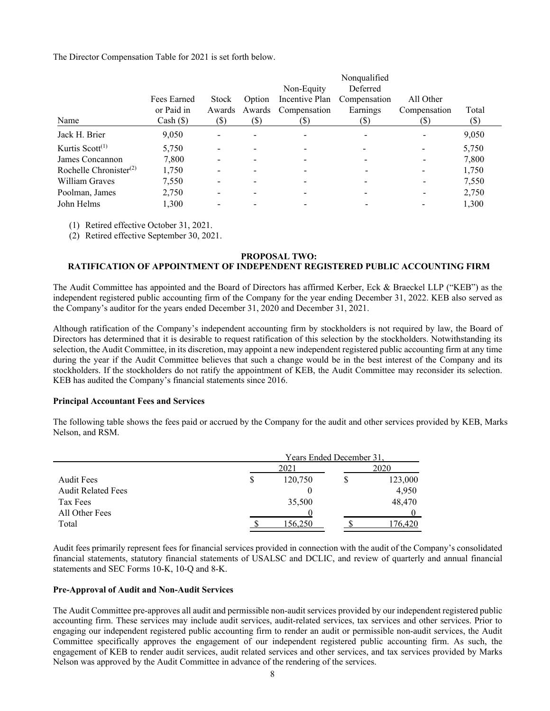The Director Compensation Table for 2021 is set forth below.

|                                                 |                                          |                         |                         | Non-Equity                             | Nonqualified<br>Deferred           |                                  |               |
|-------------------------------------------------|------------------------------------------|-------------------------|-------------------------|----------------------------------------|------------------------------------|----------------------------------|---------------|
| Name                                            | Fees Earned<br>or Paid in<br>$Cash (\$)$ | Stock<br>Awards<br>(\$) | Option<br>Awards<br>(S) | Incentive Plan<br>Compensation<br>(\$) | Compensation<br>Earnings<br>$(\$)$ | All Other<br>Compensation<br>(S) | Total<br>(\$) |
| Jack H. Brier                                   | 9,050                                    |                         |                         |                                        |                                    |                                  | 9,050         |
| Kurtis Scott $(1)$                              | 5,750                                    |                         |                         |                                        |                                    |                                  | 5,750         |
| James Concannon                                 | 7,800                                    |                         |                         |                                        |                                    |                                  | 7,800         |
| Rochelle Chronister <sup><math>(2)</math></sup> | 1,750                                    |                         |                         |                                        |                                    |                                  | 1,750         |
| William Graves                                  | 7,550                                    |                         |                         |                                        |                                    |                                  | 7,550         |
| Poolman, James                                  | 2,750                                    |                         |                         |                                        |                                    |                                  | 2,750         |
| John Helms                                      | 1.300                                    |                         |                         |                                        |                                    |                                  | 1,300         |

(1) Retired effective October 31, 2021.

(2) Retired effective September 30, 2021.

## **PROPOSAL TWO:**

## **RATIFICATION OF APPOINTMENT OF INDEPENDENT REGISTERED PUBLIC ACCOUNTING FIRM**

The Audit Committee has appointed and the Board of Directors has affirmed Kerber, Eck & Braeckel LLP ("KEB") as the independent registered public accounting firm of the Company for the year ending December 31, 2022. KEB also served as the Company's auditor for the years ended December 31, 2020 and December 31, 2021.

Although ratification of the Company's independent accounting firm by stockholders is not required by law, the Board of Directors has determined that it is desirable to request ratification of this selection by the stockholders. Notwithstanding its selection, the Audit Committee, in its discretion, may appoint a new independent registered public accounting firm at any time during the year if the Audit Committee believes that such a change would be in the best interest of the Company and its stockholders. If the stockholders do not ratify the appointment of KEB, the Audit Committee may reconsider its selection. KEB has audited the Company's financial statements since 2016.

#### **Principal Accountant Fees and Services**

The following table shows the fees paid or accrued by the Company for the audit and other services provided by KEB, Marks Nelson, and RSM.

|                           |   | Years Ended December 31. |  |         |  |
|---------------------------|---|--------------------------|--|---------|--|
|                           |   | 2020                     |  |         |  |
| <b>Audit Fees</b>         | S | 120,750                  |  | 123,000 |  |
| <b>Audit Related Fees</b> |   |                          |  | 4,950   |  |
| Tax Fees                  |   | 35,500                   |  | 48,470  |  |
| All Other Fees            |   |                          |  |         |  |
| Total                     |   | 156.250                  |  | 76.420  |  |

Audit fees primarily represent fees for financial services provided in connection with the audit of the Company's consolidated financial statements, statutory financial statements of USALSC and DCLIC, and review of quarterly and annual financial statements and SEC Forms 10-K, 10-Q and 8-K.

## **Pre-Approval of Audit and Non-Audit Services**

The Audit Committee pre-approves all audit and permissible non-audit services provided by our independent registered public accounting firm. These services may include audit services, audit-related services, tax services and other services. Prior to engaging our independent registered public accounting firm to render an audit or permissible non-audit services, the Audit Committee specifically approves the engagement of our independent registered public accounting firm. As such, the engagement of KEB to render audit services, audit related services and other services, and tax services provided by Marks Nelson was approved by the Audit Committee in advance of the rendering of the services.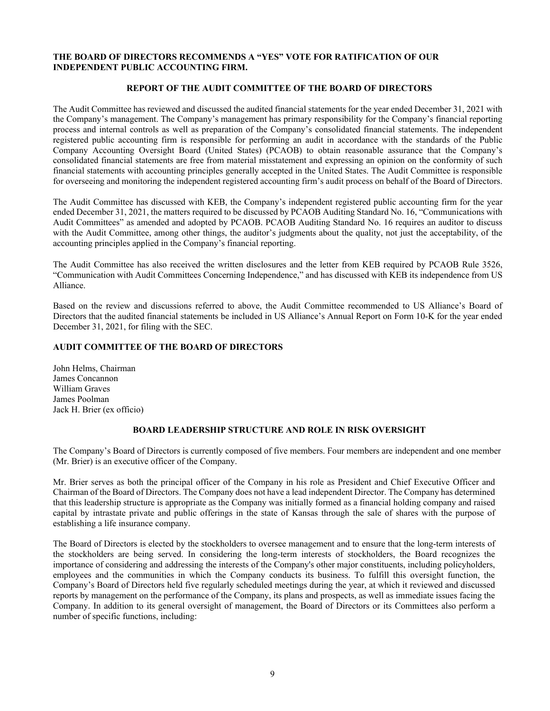## **THE BOARD OF DIRECTORS RECOMMENDS A "YES" VOTE FOR RATIFICATION OF OUR INDEPENDENT PUBLIC ACCOUNTING FIRM.**

## **REPORT OF THE AUDIT COMMITTEE OF THE BOARD OF DIRECTORS**

The Audit Committee has reviewed and discussed the audited financial statements for the year ended December 31, 2021 with the Company's management. The Company's management has primary responsibility for the Company's financial reporting process and internal controls as well as preparation of the Company's consolidated financial statements. The independent registered public accounting firm is responsible for performing an audit in accordance with the standards of the Public Company Accounting Oversight Board (United States) (PCAOB) to obtain reasonable assurance that the Company's consolidated financial statements are free from material misstatement and expressing an opinion on the conformity of such financial statements with accounting principles generally accepted in the United States. The Audit Committee is responsible for overseeing and monitoring the independent registered accounting firm's audit process on behalf of the Board of Directors.

The Audit Committee has discussed with KEB, the Company's independent registered public accounting firm for the year ended December 31, 2021, the matters required to be discussed by PCAOB Auditing Standard No. 16, "Communications with Audit Committees" as amended and adopted by PCAOB. PCAOB Auditing Standard No. 16 requires an auditor to discuss with the Audit Committee, among other things, the auditor's judgments about the quality, not just the acceptability, of the accounting principles applied in the Company's financial reporting.

The Audit Committee has also received the written disclosures and the letter from KEB required by PCAOB Rule 3526, "Communication with Audit Committees Concerning Independence," and has discussed with KEB its independence from US Alliance.

Based on the review and discussions referred to above, the Audit Committee recommended to US Alliance's Board of Directors that the audited financial statements be included in US Alliance's Annual Report on Form 10-K for the year ended December 31, 2021, for filing with the SEC.

## **AUDIT COMMITTEE OF THE BOARD OF DIRECTORS**

John Helms, Chairman James Concannon William Graves James Poolman Jack H. Brier (ex officio)

## **BOARD LEADERSHIP STRUCTURE AND ROLE IN RISK OVERSIGHT**

The Company's Board of Directors is currently composed of five members. Four members are independent and one member (Mr. Brier) is an executive officer of the Company.

Mr. Brier serves as both the principal officer of the Company in his role as President and Chief Executive Officer and Chairman of the Board of Directors. The Company does not have a lead independent Director. The Company has determined that this leadership structure is appropriate as the Company was initially formed as a financial holding company and raised capital by intrastate private and public offerings in the state of Kansas through the sale of shares with the purpose of establishing a life insurance company.

The Board of Directors is elected by the stockholders to oversee management and to ensure that the long-term interests of the stockholders are being served. In considering the long-term interests of stockholders, the Board recognizes the importance of considering and addressing the interests of the Company's other major constituents, including policyholders, employees and the communities in which the Company conducts its business. To fulfill this oversight function, the Company's Board of Directors held five regularly scheduled meetings during the year, at which it reviewed and discussed reports by management on the performance of the Company, its plans and prospects, as well as immediate issues facing the Company. In addition to its general oversight of management, the Board of Directors or its Committees also perform a number of specific functions, including: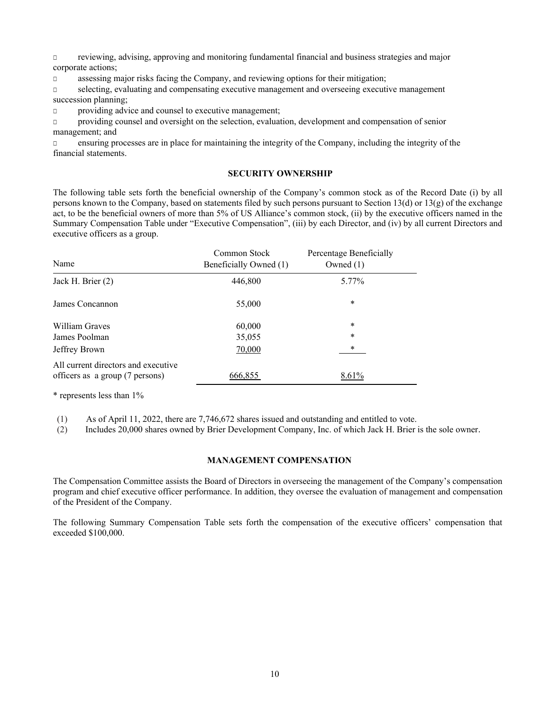□ reviewing, advising, approving and monitoring fundamental financial and business strategies and major corporate actions;

□ assessing major risks facing the Company, and reviewing options for their mitigation;

□ selecting, evaluating and compensating executive management and overseeing executive management succession planning;

□ providing advice and counsel to executive management;

□ providing counsel and oversight on the selection, evaluation, development and compensation of senior management; and

□ ensuring processes are in place for maintaining the integrity of the Company, including the integrity of the financial statements.

## **SECURITY OWNERSHIP**

The following table sets forth the beneficial ownership of the Company's common stock as of the Record Date (i) by all persons known to the Company, based on statements filed by such persons pursuant to Section 13(d) or 13(g) of the exchange act, to be the beneficial owners of more than 5% of US Alliance's common stock, (ii) by the executive officers named in the Summary Compensation Table under "Executive Compensation", (iii) by each Director, and (iv) by all current Directors and executive officers as a group.

| Name                                                                   | Common Stock<br>Beneficially Owned (1) | Percentage Beneficially<br>Owned $(1)$ |
|------------------------------------------------------------------------|----------------------------------------|----------------------------------------|
| Jack H. Brier $(2)$                                                    | 446,800                                | 5.77%                                  |
| James Concannon                                                        | 55,000                                 | $\ast$                                 |
| William Graves                                                         | 60,000                                 | *                                      |
| James Poolman                                                          | 35,055                                 | *                                      |
| Jeffrey Brown                                                          | 70,000                                 | $\ast$                                 |
| All current directors and executive<br>officers as a group (7 persons) | 666,855                                | 8.61%                                  |

\* represents less than 1%

(1) As of April 11, 2022, there are 7,746,672 shares issued and outstanding and entitled to vote.

(2) Includes 20,000 shares owned by Brier Development Company, Inc. of which Jack H. Brier is the sole owner.

## **MANAGEMENT COMPENSATION**

The Compensation Committee assists the Board of Directors in overseeing the management of the Company's compensation program and chief executive officer performance. In addition, they oversee the evaluation of management and compensation of the President of the Company.

The following Summary Compensation Table sets forth the compensation of the executive officers' compensation that exceeded \$100,000.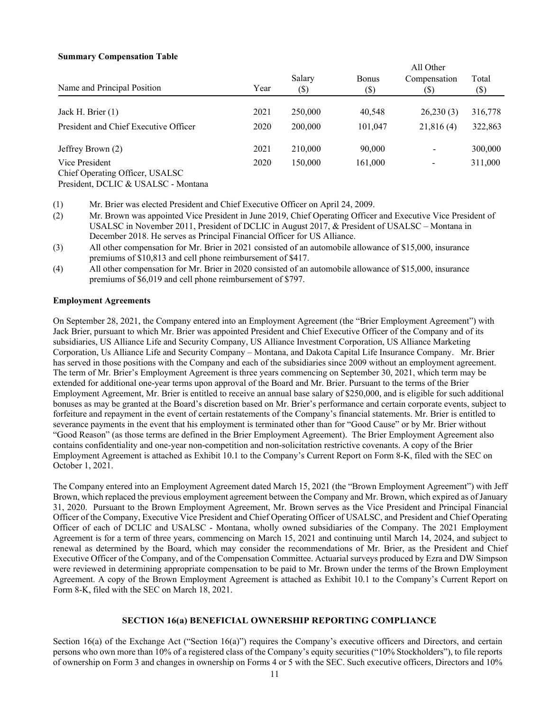## **Summary Compensation Table**

|                                                   |      | All Other      |                         |                                            |               |  |
|---------------------------------------------------|------|----------------|-------------------------|--------------------------------------------|---------------|--|
| Name and Principal Position                       | Year | Salary<br>(\$) | <b>Bonus</b><br>$(\$\)$ | Compensation<br>$\left( \mathbb{S}\right)$ | Total<br>(\$) |  |
|                                                   |      |                |                         |                                            |               |  |
| Jack H. Brier (1)                                 | 2021 | 250,000        | 40,548                  | 26,230(3)                                  | 316,778       |  |
| President and Chief Executive Officer             | 2020 | 200,000        | 101,047                 | 21,816(4)                                  | 322,863       |  |
| Jeffrey Brown (2)                                 | 2021 | 210,000        | 90,000                  |                                            | 300,000       |  |
| Vice President<br>Chief Operating Officer, USALSC | 2020 | 150,000        | 161,000                 |                                            | 311,000       |  |

President, DCLIC & USALSC - Montana

(1) Mr. Brier was elected President and Chief Executive Officer on April 24, 2009.

- (2) Mr. Brown was appointed Vice President in June 2019, Chief Operating Officer and Executive Vice President of USALSC in November 2011, President of DCLIC in August 2017, & President of USALSC – Montana in December 2018. He serves as Principal Financial Officer for US Alliance.
- (3) All other compensation for Mr. Brier in 2021 consisted of an automobile allowance of \$15,000, insurance premiums of \$10,813 and cell phone reimbursement of \$417.
- (4) All other compensation for Mr. Brier in 2020 consisted of an automobile allowance of \$15,000, insurance premiums of \$6,019 and cell phone reimbursement of \$797.

## **Employment Agreements**

On September 28, 2021, the Company entered into an Employment Agreement (the "Brier Employment Agreement") with Jack Brier, pursuant to which Mr. Brier was appointed President and Chief Executive Officer of the Company and of its subsidiaries, US Alliance Life and Security Company, US Alliance Investment Corporation, US Alliance Marketing Corporation, Us Alliance Life and Security Company – Montana, and Dakota Capital Life Insurance Company. Mr. Brier has served in those positions with the Company and each of the subsidiaries since 2009 without an employment agreement. The term of Mr. Brier's Employment Agreement is three years commencing on September 30, 2021, which term may be extended for additional one-year terms upon approval of the Board and Mr. Brier. Pursuant to the terms of the Brier Employment Agreement, Mr. Brier is entitled to receive an annual base salary of \$250,000, and is eligible for such additional bonuses as may be granted at the Board's discretion based on Mr. Brier's performance and certain corporate events, subject to forfeiture and repayment in the event of certain restatements of the Company's financial statements. Mr. Brier is entitled to severance payments in the event that his employment is terminated other than for "Good Cause" or by Mr. Brier without "Good Reason" (as those terms are defined in the Brier Employment Agreement). The Brier Employment Agreement also contains confidentiality and one-year non-competition and non-solicitation restrictive covenants. A copy of the Brier Employment Agreement is attached as Exhibit 10.1 to the Company's Current Report on Form 8-K, filed with the SEC on October 1, 2021.

The Company entered into an Employment Agreement dated March 15, 2021 (the "Brown Employment Agreement") with Jeff Brown, which replaced the previous employment agreement between the Company and Mr. Brown, which expired as of January 31, 2020. Pursuant to the Brown Employment Agreement, Mr. Brown serves as the Vice President and Principal Financial Officer of the Company, Executive Vice President and Chief Operating Officer of USALSC, and President and Chief Operating Officer of each of DCLIC and USALSC - Montana, wholly owned subsidiaries of the Company. The 2021 Employment Agreement is for a term of three years, commencing on March 15, 2021 and continuing until March 14, 2024, and subject to renewal as determined by the Board, which may consider the recommendations of Mr. Brier, as the President and Chief Executive Officer of the Company, and of the Compensation Committee. Actuarial surveys produced by Ezra and DW Simpson were reviewed in determining appropriate compensation to be paid to Mr. Brown under the terms of the Brown Employment Agreement. A copy of the Brown Employment Agreement is attached as Exhibit 10.1 to the Company's Current Report on Form 8-K, filed with the SEC on March 18, 2021.

#### **SECTION 16(a) BENEFICIAL OWNERSHIP REPORTING COMPLIANCE**

Section 16(a) of the Exchange Act ("Section 16(a)") requires the Company's executive officers and Directors, and certain persons who own more than 10% of a registered class of the Company's equity securities ("10% Stockholders"), to file reports of ownership on Form 3 and changes in ownership on Forms 4 or 5 with the SEC. Such executive officers, Directors and 10%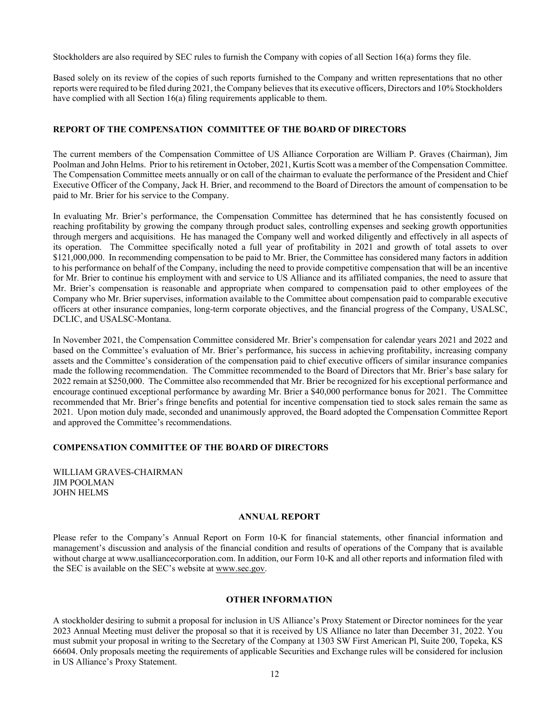Stockholders are also required by SEC rules to furnish the Company with copies of all Section 16(a) forms they file.

Based solely on its review of the copies of such reports furnished to the Company and written representations that no other reports were required to be filed during 2021, the Company believes that its executive officers, Directors and 10% Stockholders have complied with all Section 16(a) filing requirements applicable to them.

## **REPORT OF THE COMPENSATION COMMITTEE OF THE BOARD OF DIRECTORS**

The current members of the Compensation Committee of US Alliance Corporation are William P. Graves (Chairman), Jim Poolman and John Helms. Prior to his retirement in October, 2021, Kurtis Scott was a member of the Compensation Committee. The Compensation Committee meets annually or on call of the chairman to evaluate the performance of the President and Chief Executive Officer of the Company, Jack H. Brier, and recommend to the Board of Directors the amount of compensation to be paid to Mr. Brier for his service to the Company.

In evaluating Mr. Brier's performance, the Compensation Committee has determined that he has consistently focused on reaching profitability by growing the company through product sales, controlling expenses and seeking growth opportunities through mergers and acquisitions. He has managed the Company well and worked diligently and effectively in all aspects of its operation. The Committee specifically noted a full year of profitability in 2021 and growth of total assets to over \$121,000,000. In recommending compensation to be paid to Mr. Brier, the Committee has considered many factors in addition to his performance on behalf of the Company, including the need to provide competitive compensation that will be an incentive for Mr. Brier to continue his employment with and service to US Alliance and its affiliated companies, the need to assure that Mr. Brier's compensation is reasonable and appropriate when compared to compensation paid to other employees of the Company who Mr. Brier supervises, information available to the Committee about compensation paid to comparable executive officers at other insurance companies, long-term corporate objectives, and the financial progress of the Company, USALSC, DCLIC, and USALSC-Montana.

In November 2021, the Compensation Committee considered Mr. Brier's compensation for calendar years 2021 and 2022 and based on the Committee's evaluation of Mr. Brier's performance, his success in achieving profitability, increasing company assets and the Committee's consideration of the compensation paid to chief executive officers of similar insurance companies made the following recommendation. The Committee recommended to the Board of Directors that Mr. Brier's base salary for 2022 remain at \$250,000. The Committee also recommended that Mr. Brier be recognized for his exceptional performance and encourage continued exceptional performance by awarding Mr. Brier a \$40,000 performance bonus for 2021. The Committee recommended that Mr. Brier's fringe benefits and potential for incentive compensation tied to stock sales remain the same as 2021. Upon motion duly made, seconded and unanimously approved, the Board adopted the Compensation Committee Report and approved the Committee's recommendations.

## **COMPENSATION COMMITTEE OF THE BOARD OF DIRECTORS**

WILLIAM GRAVES-CHAIRMAN JIM POOLMAN JOHN HELMS

#### **ANNUAL REPORT**

Please refer to the Company's Annual Report on Form 10-K for financial statements, other financial information and management's discussion and analysis of the financial condition and results of operations of the Company that is available without charge at www.usalliancecorporation.com. In addition, our Form 10-K and all other reports and information filed with the SEC is available on the SEC's website at www.sec.gov.

## **OTHER INFORMATION**

A stockholder desiring to submit a proposal for inclusion in US Alliance's Proxy Statement or Director nominees for the year 2023 Annual Meeting must deliver the proposal so that it is received by US Alliance no later than December 31, 2022. You must submit your proposal in writing to the Secretary of the Company at 1303 SW First American Pl, Suite 200, Topeka, KS 66604. Only proposals meeting the requirements of applicable Securities and Exchange rules will be considered for inclusion in US Alliance's Proxy Statement.